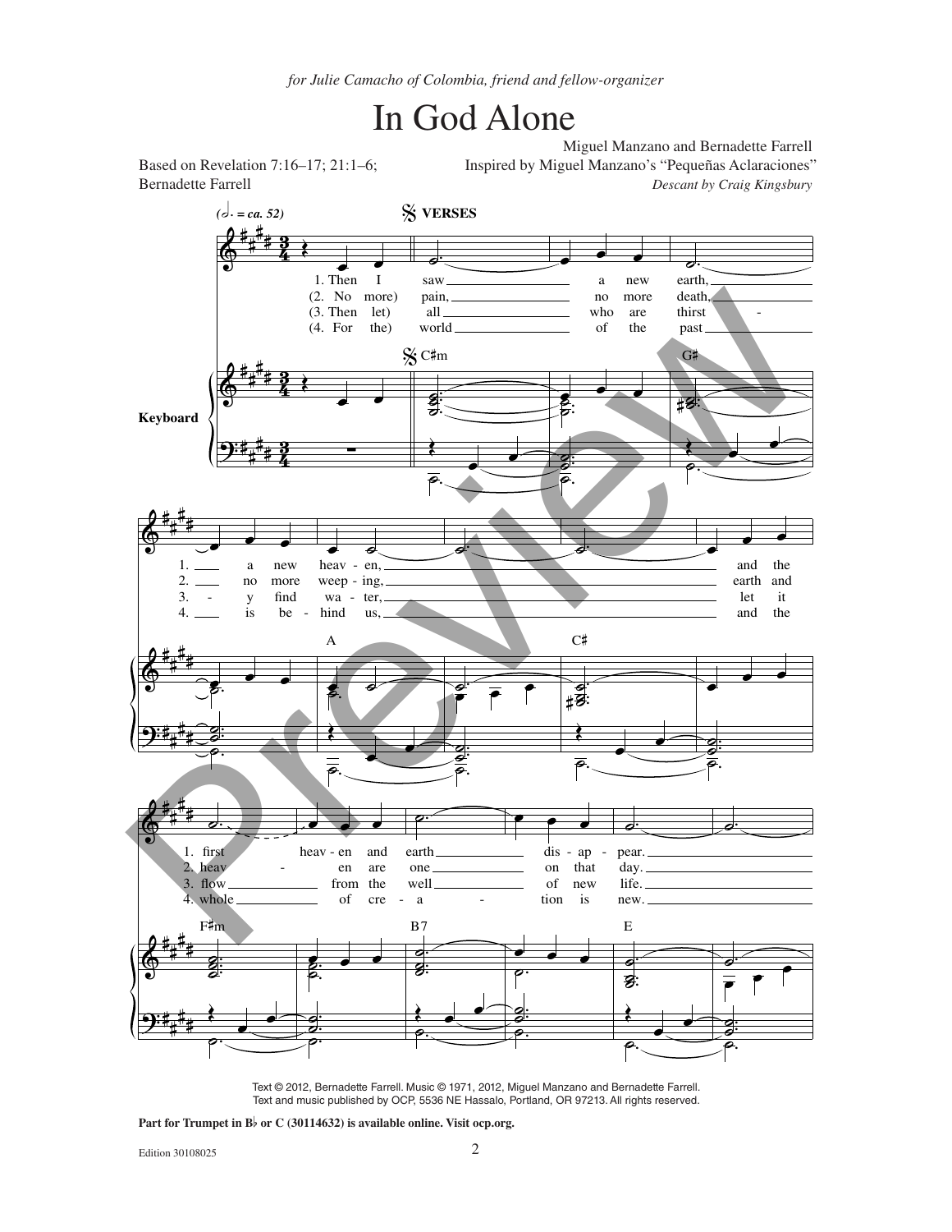## In God Alone

Miguel Manzano and Bernadette Farrell Based on Revelation 7:16-17; 21:1-6; Inspired by Miguel Manzano's "Pequeñas Aclaraciones" Bernadette Farrell *Descant by Craig Kingsbury*



Text © 2012, Bernadette Farrell. Music © 1971, 2012, Miguel Manzano and Bernadette Farrell. Text and music published by OCP, 5536 NE Hassalo, Portland, OR 97213. All rights reserved.

Part for Trumpet in B<sub>b</sub> or C (30114632) is available online. Visit ocp.org.

Edition 30108025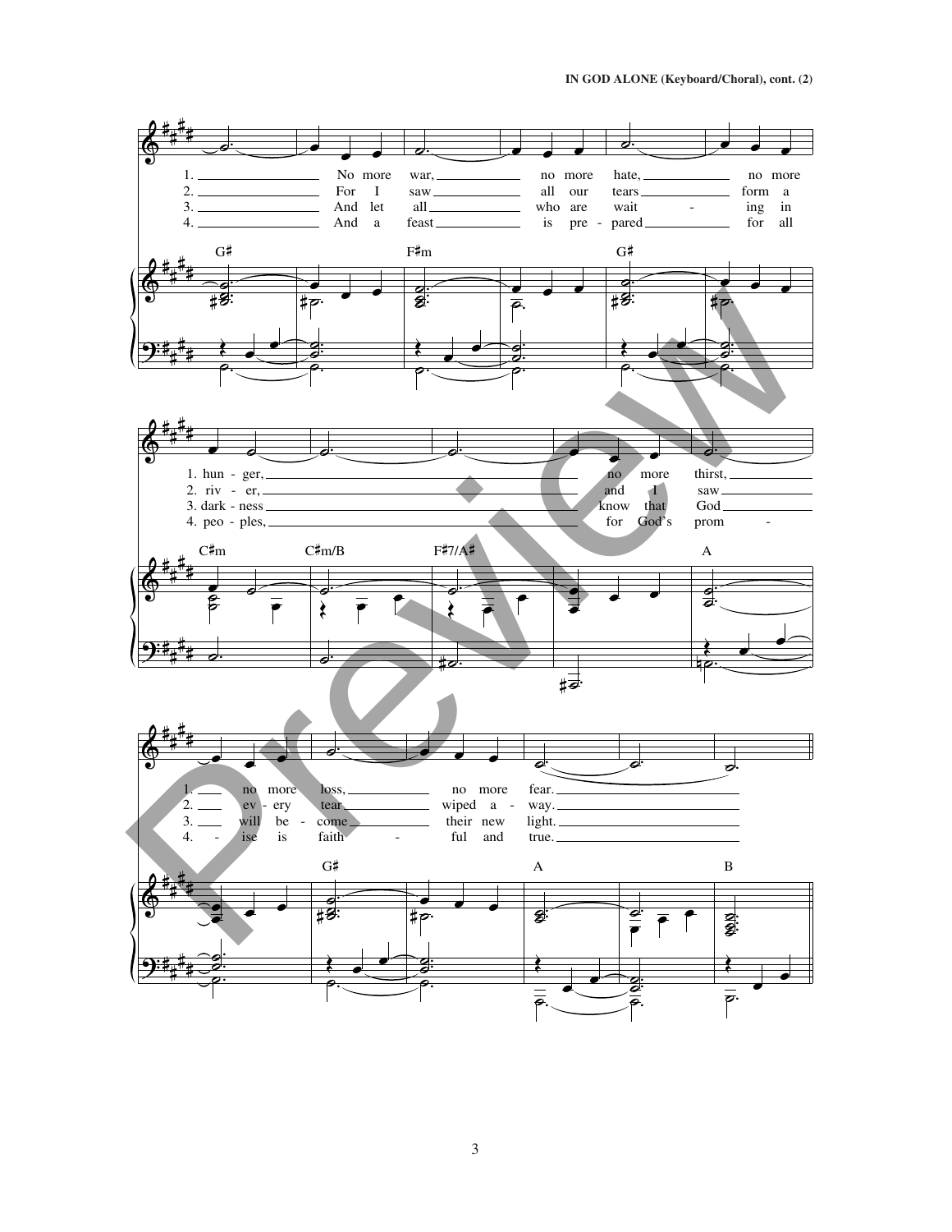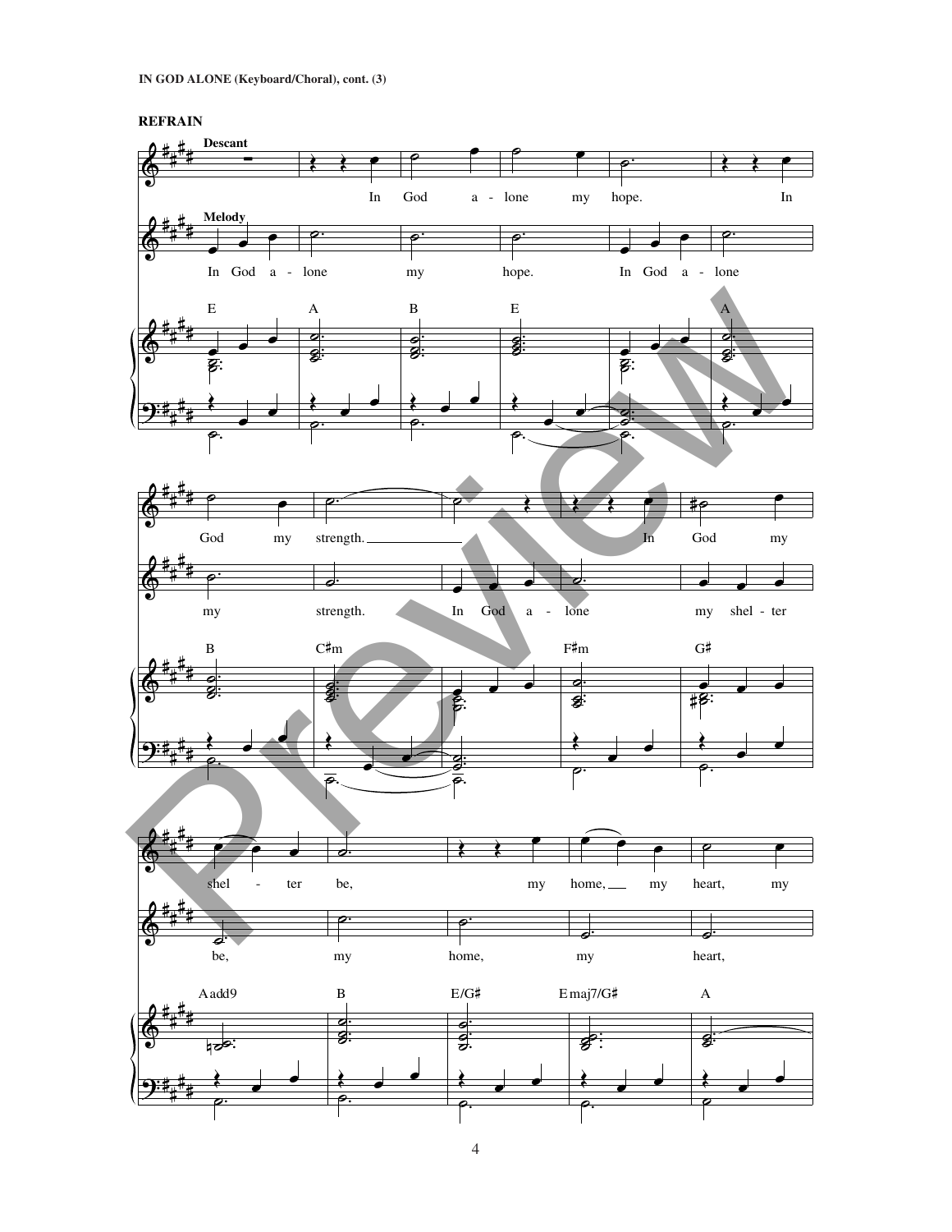

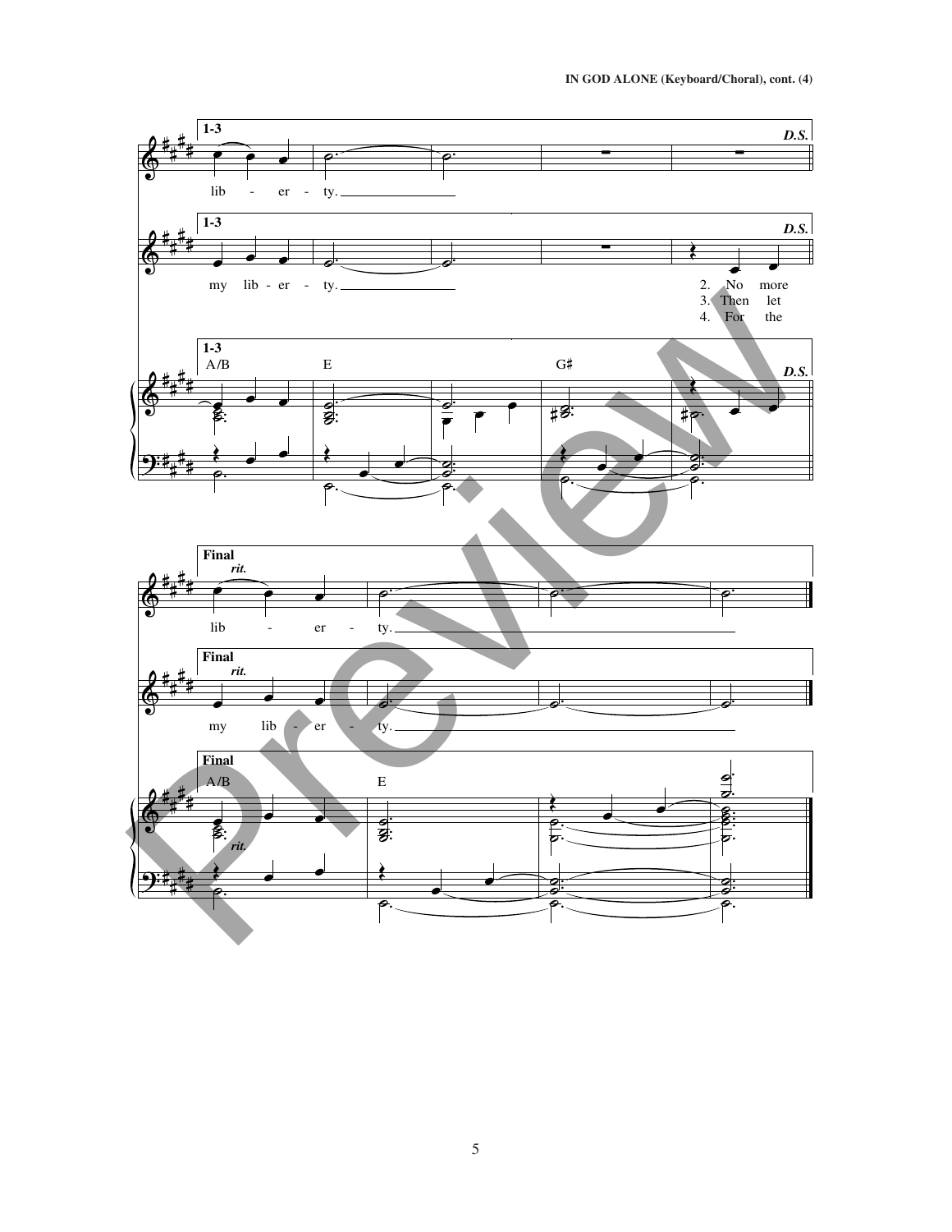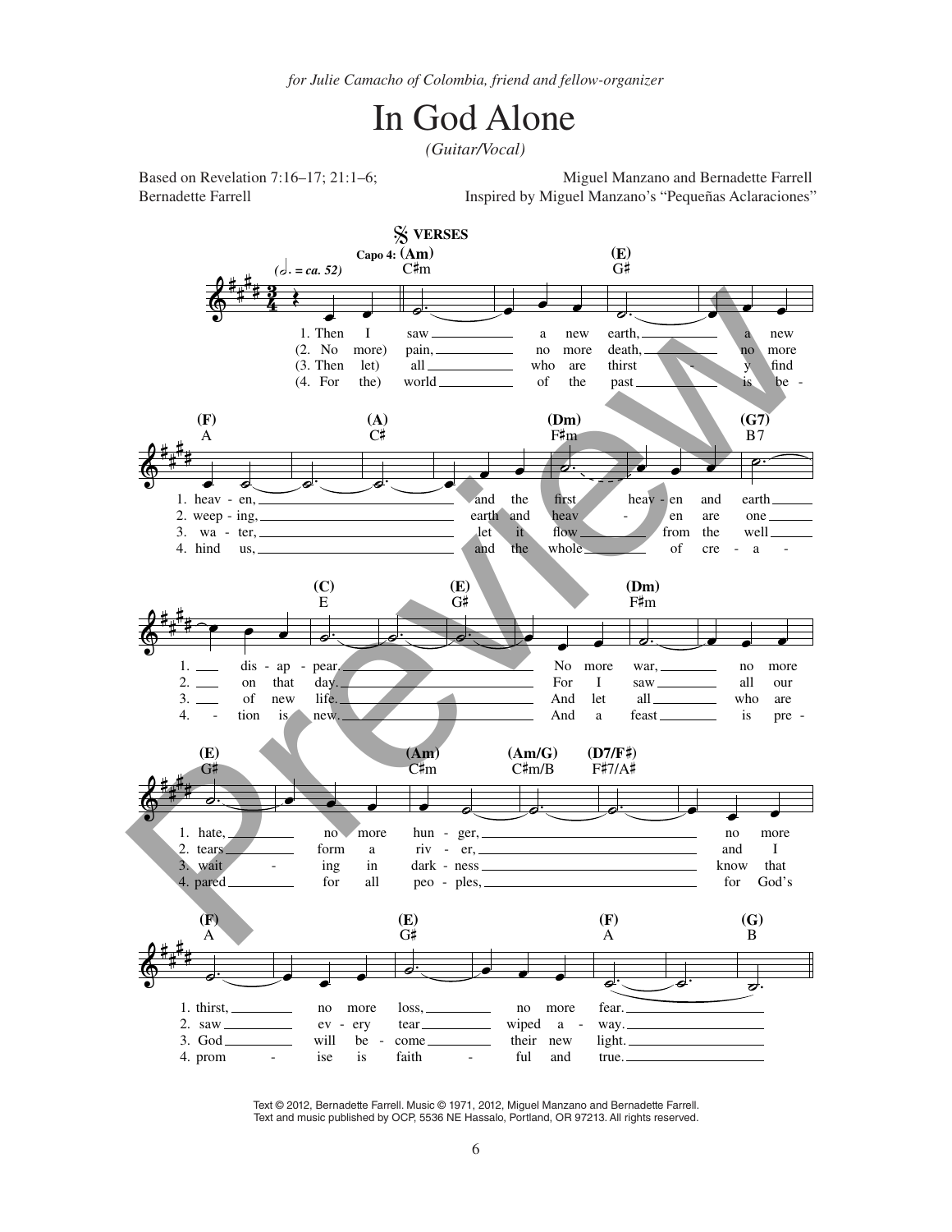*for Julie Camacho of Colombia, friend and fellow-organizer*



*(Guitar/Vocal)*

Based on Revelation 7:16–17; 21:1–6; Miguel Manzano and Bernadette Farrell Bernadette Farrell **Inspired by Miguel Manzano's "Pequeñas Aclaraciones"** 



Text © 2012, Bernadette Farrell. Music © 1971, 2012, Miguel Manzano and Bernadette Farrell. Text and music published by OCP, 5536 NE Hassalo, Portland, OR 97213. All rights reserved.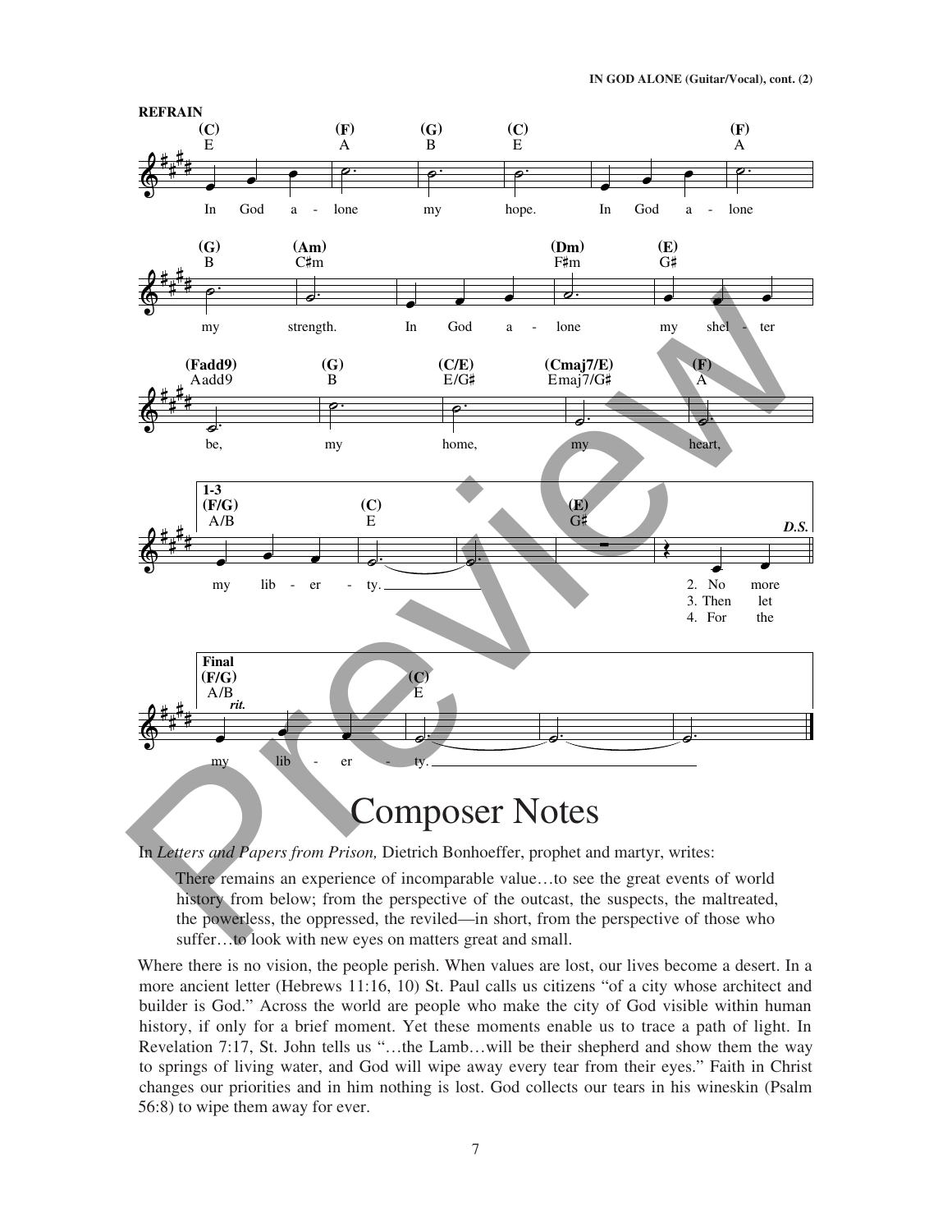

## Composer Notes

In *Letters and Papers from Prison,* Dietrich Bonhoeffer, prophet and martyr, writes:

There remains an experience of incomparable value...to see the great events of world history from below; from the perspective of the outcast, the suspects, the maltreated, the powerless, the oppressed, the reviled—in short, from the perspective of those who suffer…to look with new eyes on matters great and small.

Where there is no vision, the people perish. When values are lost, our lives become a desert. In a more ancient letter (Hebrews 11:16, 10) St. Paul calls us citizens "of a city whose architect and builder is God." Across the world are people who make the city of God visible within human history, if only for a brief moment. Yet these moments enable us to trace a path of light. In Revelation 7:17, St. John tells us "…the Lamb…will be their shepherd and show them the way to springs of living water, and God will wipe away every tear from their eyes." Faith in Christ changes our priorities and in him nothing is lost. God collects our tears in his wineskin (Psalm 56:8) to wipe them away for ever.